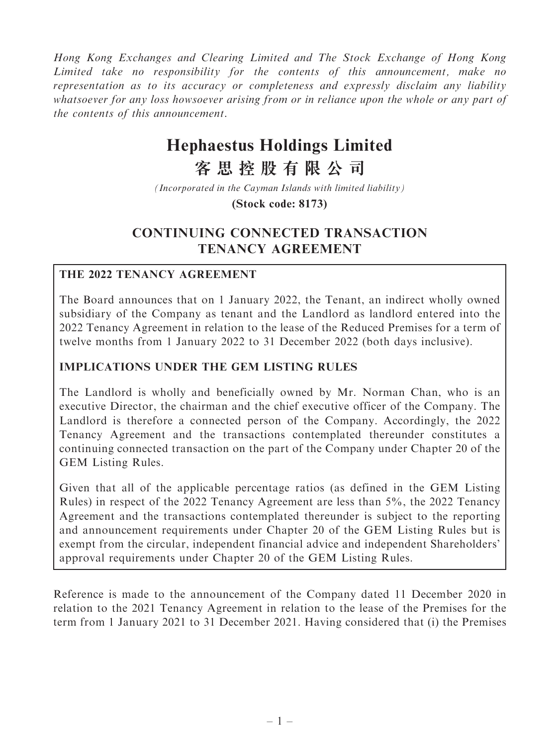Hong Kong Exchanges and Clearing Limited and The Stock Exchange of Hong Kong Limited take no responsibility for the contents of this announcement, make no representation as to its accuracy or completeness and expressly disclaim any liability whatsoever for any loss howsoever arising from or in reliance upon the whole or any part of the contents of this announcement.

# **Hephaestus Holdings Limited**

## **客思控股有限公司**

*(Incorporated in the Cayman Islands with limited liability)*

**(Stock code: 8173)**

## CONTINUING CONNECTED TRANSACTION TENANCY AGREEMENT

## THE 2022 TENANCY AGREEMENT

The Board announces that on 1 January 2022, the Tenant, an indirect wholly owned subsidiary of the Company as tenant and the Landlord as landlord entered into the 2022 Tenancy Agreement in relation to the lease of the Reduced Premises for a term of twelve months from 1 January 2022 to 31 December 2022 (both days inclusive).

## IMPLICATIONS UNDER THE GEM LISTING RULES

The Landlord is wholly and beneficially owned by Mr. Norman Chan, who is an executive Director, the chairman and the chief executive officer of the Company. The Landlord is therefore a connected person of the Company. Accordingly, the 2022 Tenancy Agreement and the transactions contemplated thereunder constitutes a continuing connected transaction on the part of the Company under Chapter 20 of the GEM Listing Rules.

Given that all of the applicable percentage ratios (as defined in the GEM Listing Rules) in respect of the 2022 Tenancy Agreement are less than 5%, the 2022 Tenancy Agreement and the transactions contemplated thereunder is subject to the reporting and announcement requirements under Chapter 20 of the GEM Listing Rules but is exempt from the circular, independent financial advice and independent Shareholders' approval requirements under Chapter 20 of the GEM Listing Rules.

Reference is made to the announcement of the Company dated 11 December 2020 in relation to the 2021 Tenancy Agreement in relation to the lease of the Premises for the term from 1 January 2021 to 31 December 2021. Having considered that (i) the Premises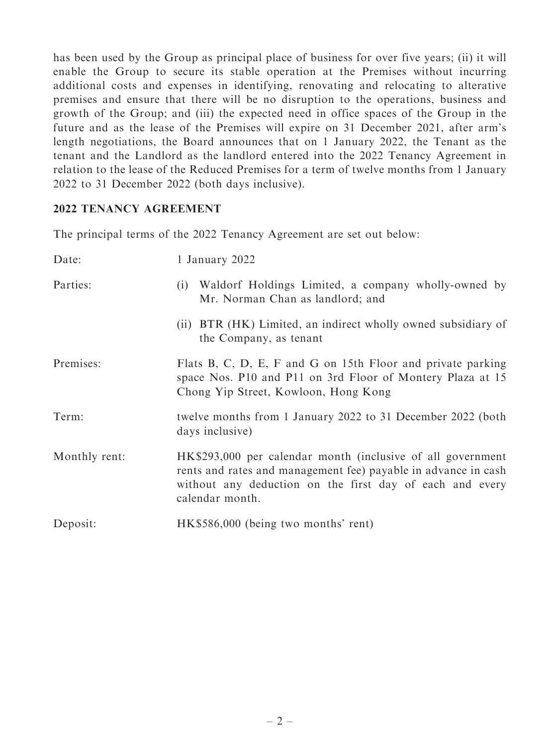has been used by the Group as principal place of business for over five years; (ii) it will enable the Group to secure its stable operation at the Premises without incurring additional costs and expenses in identifying, renovating and relocating to alterative premises and ensure that there will be no disruption to the operations, business and growth of the Group; and (iii) the expected need in office spaces of the Group in the future and as the lease of the Premises will expire on 31 December 2021, after arm's length negotiations, the Board announces that on 1 January 2022, the Tenant as the tenant and the Landlord as the landlord entered into the 2022 Tenancy Agreement in relation to the lease of the Reduced Premises for a term of twelve months from 1 January 2022 to 31 December 2022 (both days inclusive).

### 2022 TENANCY AGREEMENT

The principal terms of the 2022 Tenancy Agreement are set out below:

| Date:         | 1 January 2022                                                                                                                                                                                               |
|---------------|--------------------------------------------------------------------------------------------------------------------------------------------------------------------------------------------------------------|
| Parties:      | Waldorf Holdings Limited, a company wholly-owned by<br>(i)<br>Mr. Norman Chan as landlord; and                                                                                                               |
|               | (ii) BTR (HK) Limited, an indirect wholly owned subsidiary of<br>the Company, as tenant                                                                                                                      |
| Premises:     | Flats B, C, D, E, F and G on 15th Floor and private parking<br>space Nos. P10 and P11 on 3rd Floor of Montery Plaza at 15<br>Chong Yip Street, Kowloon, Hong Kong                                            |
| Term:         | twelve months from 1 January 2022 to 31 December 2022 (both<br>days inclusive)                                                                                                                               |
| Monthly rent: | HK\$293,000 per calendar month (inclusive of all government<br>rents and rates and management fee) payable in advance in cash<br>without any deduction on the first day of each and every<br>calendar month. |
| Deposit:      | HK\$586,000 (being two months' rent)                                                                                                                                                                         |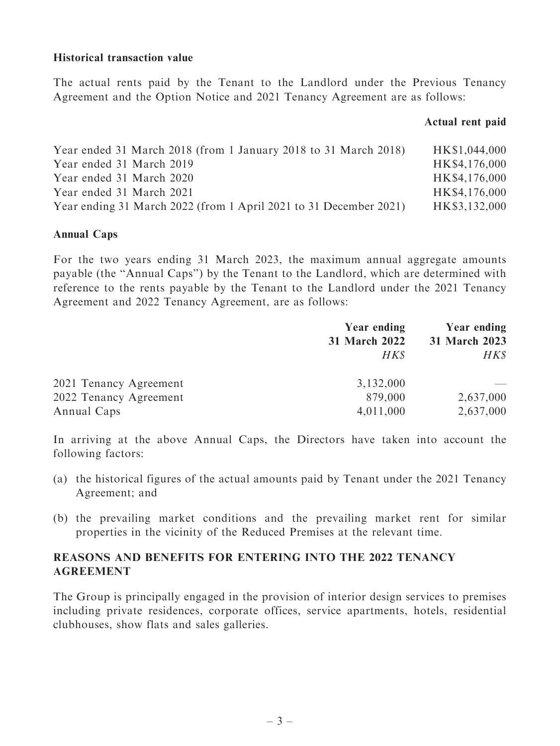#### Historical transaction value

The actual rents paid by the Tenant to the Landlord under the Previous Tenancy Agreement and the Option Notice and 2021 Tenancy Agreement are as follows:

#### Actual rent paid

| Year ended 31 March 2018 (from 1 January 2018 to 31 March 2018)   | HK\$1,044,000 |
|-------------------------------------------------------------------|---------------|
| Year ended 31 March 2019                                          | HK\$4,176,000 |
| Year ended 31 March 2020                                          | HK\$4,176,000 |
| Year ended 31 March 2021                                          | HK\$4,176,000 |
| Year ending 31 March 2022 (from 1 April 2021 to 31 December 2021) | HK\$3,132,000 |

#### Annual Caps

For the two years ending 31 March 2023, the maximum annual aggregate amounts payable (the ''Annual Caps'') by the Tenant to the Landlord, which are determined with reference to the rents payable by the Tenant to the Landlord under the 2021 Tenancy Agreement and 2022 Tenancy Agreement, are as follows:

|                        | Year ending<br>31 March 2022 | <b>Year ending</b> |  |
|------------------------|------------------------------|--------------------|--|
|                        |                              | 31 March 2023      |  |
|                        | HK\$                         | HK\$               |  |
| 2021 Tenancy Agreement | 3,132,000                    |                    |  |
| 2022 Tenancy Agreement | 879,000                      | 2,637,000          |  |
| Annual Caps            | 4,011,000                    | 2,637,000          |  |

In arriving at the above Annual Caps, the Directors have taken into account the following factors:

- (a) the historical figures of the actual amounts paid by Tenant under the 2021 Tenancy Agreement; and
- (b) the prevailing market conditions and the prevailing market rent for similar properties in the vicinity of the Reduced Premises at the relevant time.

## REASONS AND BENEFITS FOR ENTERING INTO THE 2022 TENANCY AGREEMENT

The Group is principally engaged in the provision of interior design services to premises including private residences, corporate offices, service apartments, hotels, residential clubhouses, show flats and sales galleries.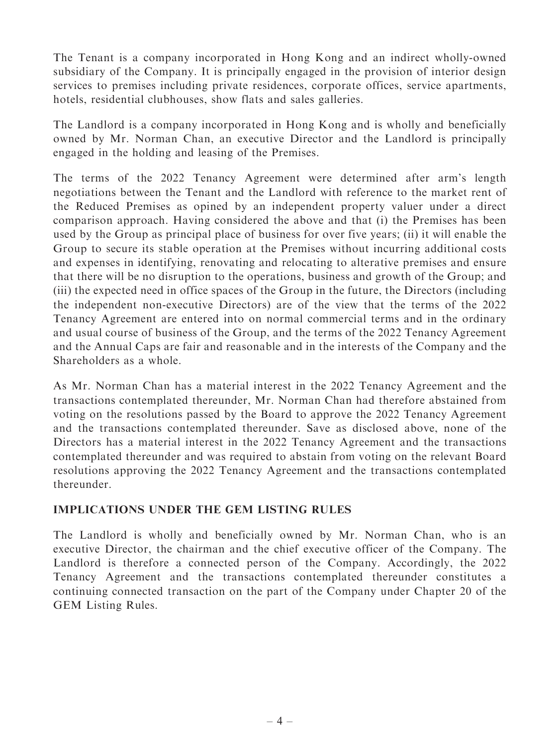The Tenant is a company incorporated in Hong Kong and an indirect wholly-owned subsidiary of the Company. It is principally engaged in the provision of interior design services to premises including private residences, corporate offices, service apartments, hotels, residential clubhouses, show flats and sales galleries.

The Landlord is a company incorporated in Hong Kong and is wholly and beneficially owned by Mr. Norman Chan, an executive Director and the Landlord is principally engaged in the holding and leasing of the Premises.

The terms of the 2022 Tenancy Agreement were determined after arm's length negotiations between the Tenant and the Landlord with reference to the market rent of the Reduced Premises as opined by an independent property valuer under a direct comparison approach. Having considered the above and that (i) the Premises has been used by the Group as principal place of business for over five years; (ii) it will enable the Group to secure its stable operation at the Premises without incurring additional costs and expenses in identifying, renovating and relocating to alterative premises and ensure that there will be no disruption to the operations, business and growth of the Group; and (iii) the expected need in office spaces of the Group in the future, the Directors (including the independent non-executive Directors) are of the view that the terms of the 2022 Tenancy Agreement are entered into on normal commercial terms and in the ordinary and usual course of business of the Group, and the terms of the 2022 Tenancy Agreement and the Annual Caps are fair and reasonable and in the interests of the Company and the Shareholders as a whole.

As Mr. Norman Chan has a material interest in the 2022 Tenancy Agreement and the transactions contemplated thereunder, Mr. Norman Chan had therefore abstained from voting on the resolutions passed by the Board to approve the 2022 Tenancy Agreement and the transactions contemplated thereunder. Save as disclosed above, none of the Directors has a material interest in the 2022 Tenancy Agreement and the transactions contemplated thereunder and was required to abstain from voting on the relevant Board resolutions approving the 2022 Tenancy Agreement and the transactions contemplated thereunder.

## IMPLICATIONS UNDER THE GEM LISTING RULES

The Landlord is wholly and beneficially owned by Mr. Norman Chan, who is an executive Director, the chairman and the chief executive officer of the Company. The Landlord is therefore a connected person of the Company. Accordingly, the 2022 Tenancy Agreement and the transactions contemplated thereunder constitutes a continuing connected transaction on the part of the Company under Chapter 20 of the GEM Listing Rules.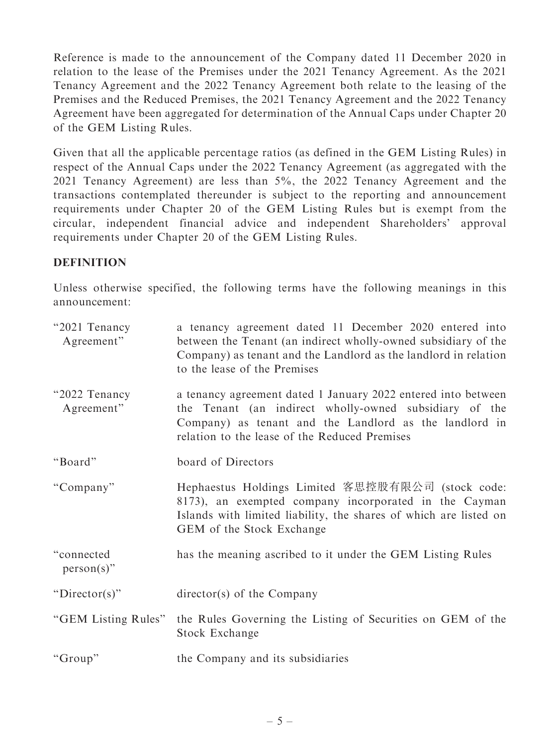Reference is made to the announcement of the Company dated 11 December 2020 in relation to the lease of the Premises under the 2021 Tenancy Agreement. As the 2021 Tenancy Agreement and the 2022 Tenancy Agreement both relate to the leasing of the Premises and the Reduced Premises, the 2021 Tenancy Agreement and the 2022 Tenancy Agreement have been aggregated for determination of the Annual Caps under Chapter 20 of the GEM Listing Rules.

Given that all the applicable percentage ratios (as defined in the GEM Listing Rules) in respect of the Annual Caps under the 2022 Tenancy Agreement (as aggregated with the 2021 Tenancy Agreement) are less than 5%, the 2022 Tenancy Agreement and the transactions contemplated thereunder is subject to the reporting and announcement requirements under Chapter 20 of the GEM Listing Rules but is exempt from the circular, independent financial advice and independent Shareholders' approval requirements under Chapter 20 of the GEM Listing Rules.

### DEFINITION

Unless otherwise specified, the following terms have the following meanings in this announcement:

| "2021 Tenancy"<br>Agreement" | a tenancy agreement dated 11 December 2020 entered into<br>between the Tenant (an indirect wholly-owned subsidiary of the<br>Company) as tenant and the Landlord as the landlord in relation<br>to the lease of the Premises       |
|------------------------------|------------------------------------------------------------------------------------------------------------------------------------------------------------------------------------------------------------------------------------|
| "2022 Tenancy<br>Agreement"  | a tenancy agreement dated 1 January 2022 entered into between<br>the Tenant (an indirect wholly-owned subsidiary of the<br>Company) as tenant and the Landlord as the landlord in<br>relation to the lease of the Reduced Premises |
| "Board"                      | board of Directors                                                                                                                                                                                                                 |
| "Company"                    | Hephaestus Holdings Limited 客思控股有限公司 (stock code:<br>8173), an exempted company incorporated in the Cayman<br>Islands with limited liability, the shares of which are listed on<br>GEM of the Stock Exchange                       |
| "connected<br>$person(s)$ "  | has the meaning ascribed to it under the GEM Listing Rules                                                                                                                                                                         |
| "Director(s)"                | $\text{directory}(s)$ of the Company                                                                                                                                                                                               |
| "GEM Listing Rules"          | the Rules Governing the Listing of Securities on GEM of the<br>Stock Exchange                                                                                                                                                      |
| "Group"                      | the Company and its subsidiaries                                                                                                                                                                                                   |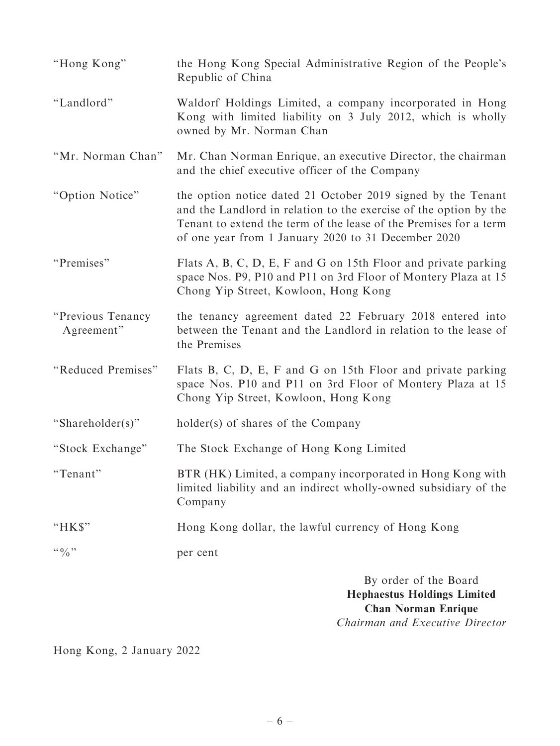| "Hong Kong"                     | the Hong Kong Special Administrative Region of the People's<br>Republic of China                                                                                                                                                                              |
|---------------------------------|---------------------------------------------------------------------------------------------------------------------------------------------------------------------------------------------------------------------------------------------------------------|
| "Landlord"                      | Waldorf Holdings Limited, a company incorporated in Hong<br>Kong with limited liability on 3 July 2012, which is wholly<br>owned by Mr. Norman Chan                                                                                                           |
| "Mr. Norman Chan"               | Mr. Chan Norman Enrique, an executive Director, the chairman<br>and the chief executive officer of the Company                                                                                                                                                |
| "Option Notice"                 | the option notice dated 21 October 2019 signed by the Tenant<br>and the Landlord in relation to the exercise of the option by the<br>Tenant to extend the term of the lease of the Premises for a term<br>of one year from 1 January 2020 to 31 December 2020 |
| "Premises"                      | Flats A, B, C, D, E, F and G on 15th Floor and private parking<br>space Nos. P9, P10 and P11 on 3rd Floor of Montery Plaza at 15<br>Chong Yip Street, Kowloon, Hong Kong                                                                                      |
| "Previous Tenancy<br>Agreement" | the tenancy agreement dated 22 February 2018 entered into<br>between the Tenant and the Landlord in relation to the lease of<br>the Premises                                                                                                                  |
| "Reduced Premises"              | Flats B, C, D, E, F and G on 15th Floor and private parking<br>space Nos. P10 and P11 on 3rd Floor of Montery Plaza at 15<br>Chong Yip Street, Kowloon, Hong Kong                                                                                             |
| "Shareholder(s)"                | holder(s) of shares of the Company                                                                                                                                                                                                                            |
| "Stock Exchange"                | The Stock Exchange of Hong Kong Limited                                                                                                                                                                                                                       |
| "Tenant"                        | BTR (HK) Limited, a company incorporated in Hong Kong with<br>limited liability and an indirect wholly-owned subsidiary of the<br>Company                                                                                                                     |
| "HK\$"                          | Hong Kong dollar, the lawful currency of Hong Kong                                                                                                                                                                                                            |
| $\lq\lq 0$ , $\lq\lq$           | per cent                                                                                                                                                                                                                                                      |
|                                 | By order of the Board<br><b>Hephaestus Holdings Limited</b><br><b>Chan Norman Enrique</b>                                                                                                                                                                     |

Chairman and Executive Director

Hong Kong, 2 January 2022